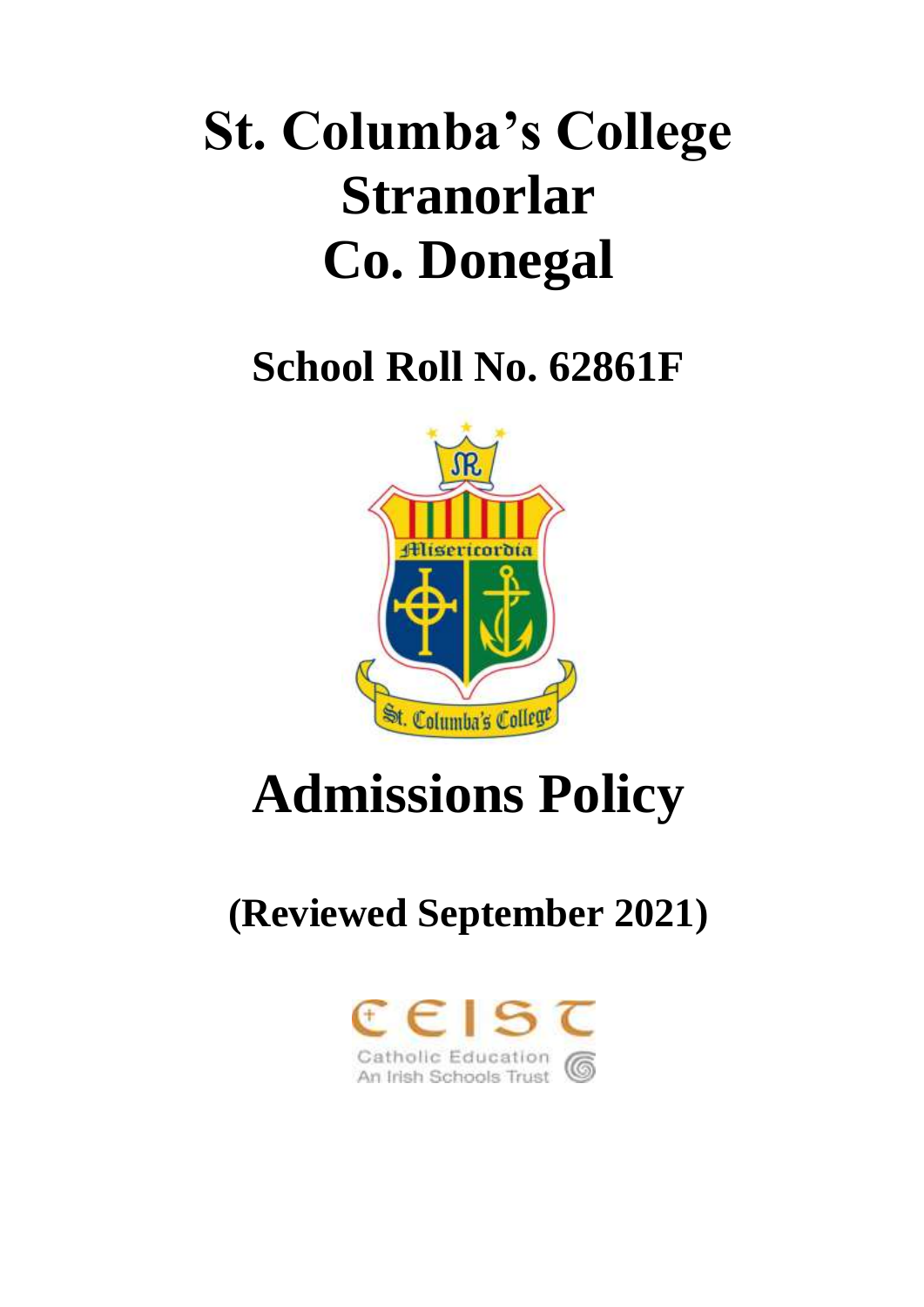# **St. Columba's College Stranorlar Co. Donegal**

**School Roll No. 62861F**



# **Admissions Policy**

# **(Reviewed September 2021)**

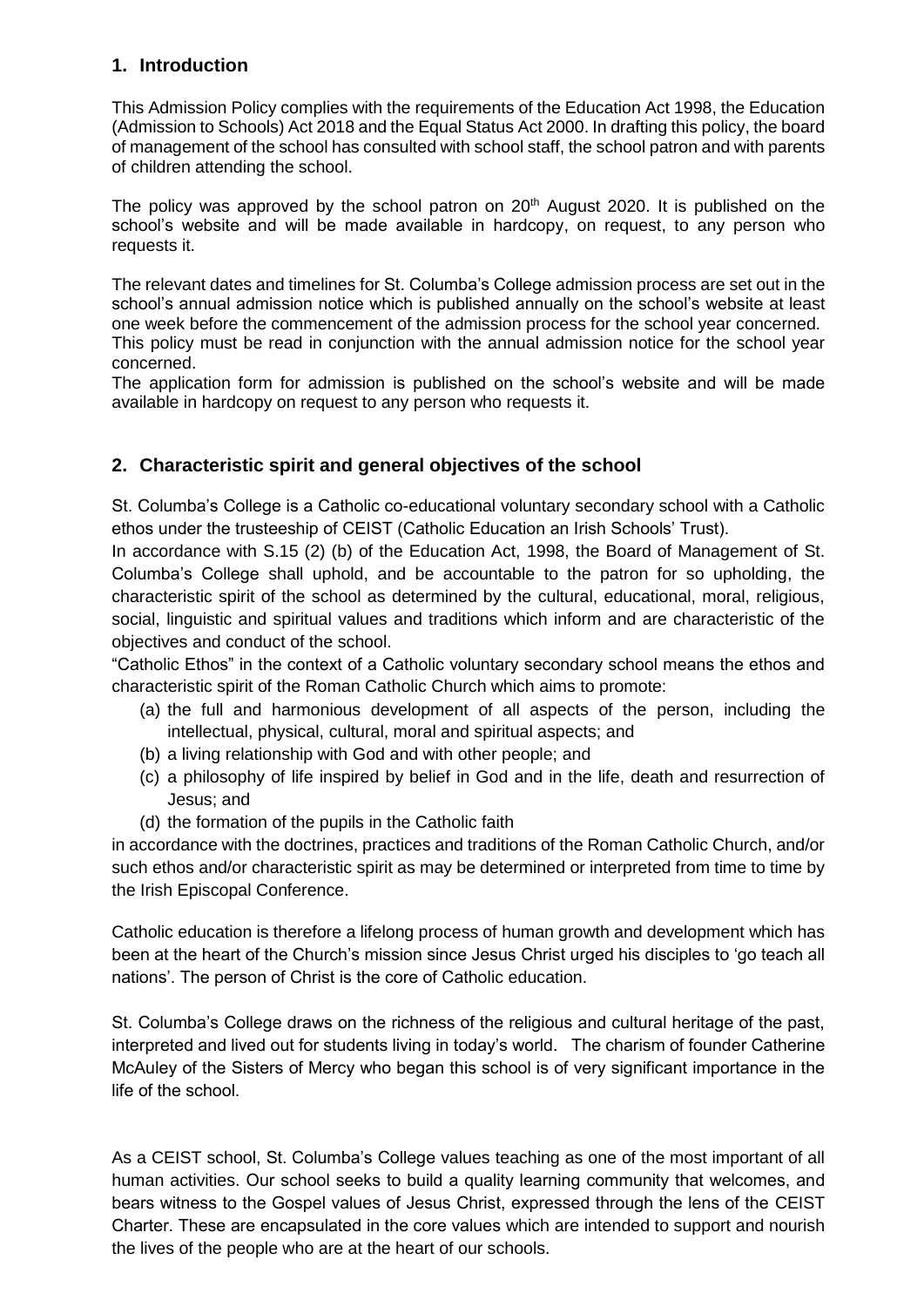#### **1. Introduction**

This Admission Policy complies with the requirements of the Education Act 1998, the Education (Admission to Schools) Act 2018 and the Equal Status Act 2000. In drafting this policy, the board of management of the school has consulted with school staff, the school patron and with parents of children attending the school.

The policy was approved by the school patron on  $20<sup>th</sup>$  August 2020. It is published on the school's website and will be made available in hardcopy, on request, to any person who requests it.

The relevant dates and timelines for St. Columba's College admission process are set out in the school's annual admission notice which is published annually on the school's website at least one week before the commencement of the admission process for the school year concerned. This policy must be read in conjunction with the annual admission notice for the school year concerned.

The application form for admission is published on the school's website and will be made available in hardcopy on request to any person who requests it.

## **2. Characteristic spirit and general objectives of the school**

St. Columba's College is a Catholic co-educational voluntary secondary school with a Catholic ethos under the trusteeship of CEIST (Catholic Education an Irish Schools' Trust).

In accordance with S.15 (2) (b) of the Education Act, 1998, the Board of Management of St. Columba's College shall uphold, and be accountable to the patron for so upholding, the characteristic spirit of the school as determined by the cultural, educational, moral, religious, social, linguistic and spiritual values and traditions which inform and are characteristic of the objectives and conduct of the school.

"Catholic Ethos" in the context of a Catholic voluntary secondary school means the ethos and characteristic spirit of the Roman Catholic Church which aims to promote:

- (a) the full and harmonious development of all aspects of the person, including the intellectual, physical, cultural, moral and spiritual aspects; and
- (b) a living relationship with God and with other people; and
- (c) a philosophy of life inspired by belief in God and in the life, death and resurrection of Jesus; and
- (d) the formation of the pupils in the Catholic faith

in accordance with the doctrines, practices and traditions of the Roman Catholic Church, and/or such ethos and/or characteristic spirit as may be determined or interpreted from time to time by the Irish Episcopal Conference.

Catholic education is therefore a lifelong process of human growth and development which has been at the heart of the Church's mission since Jesus Christ urged his disciples to 'go teach all nations'. The person of Christ is the core of Catholic education.

St. Columba's College draws on the richness of the religious and cultural heritage of the past, interpreted and lived out for students living in today's world. The charism of founder Catherine McAuley of the Sisters of Mercy who began this school is of very significant importance in the life of the school.

As a CEIST school, St. Columba's College values teaching as one of the most important of all human activities. Our school seeks to build a quality learning community that welcomes, and bears witness to the Gospel values of Jesus Christ, expressed through the lens of the CEIST Charter. These are encapsulated in the core values which are intended to support and nourish the lives of the people who are at the heart of our schools.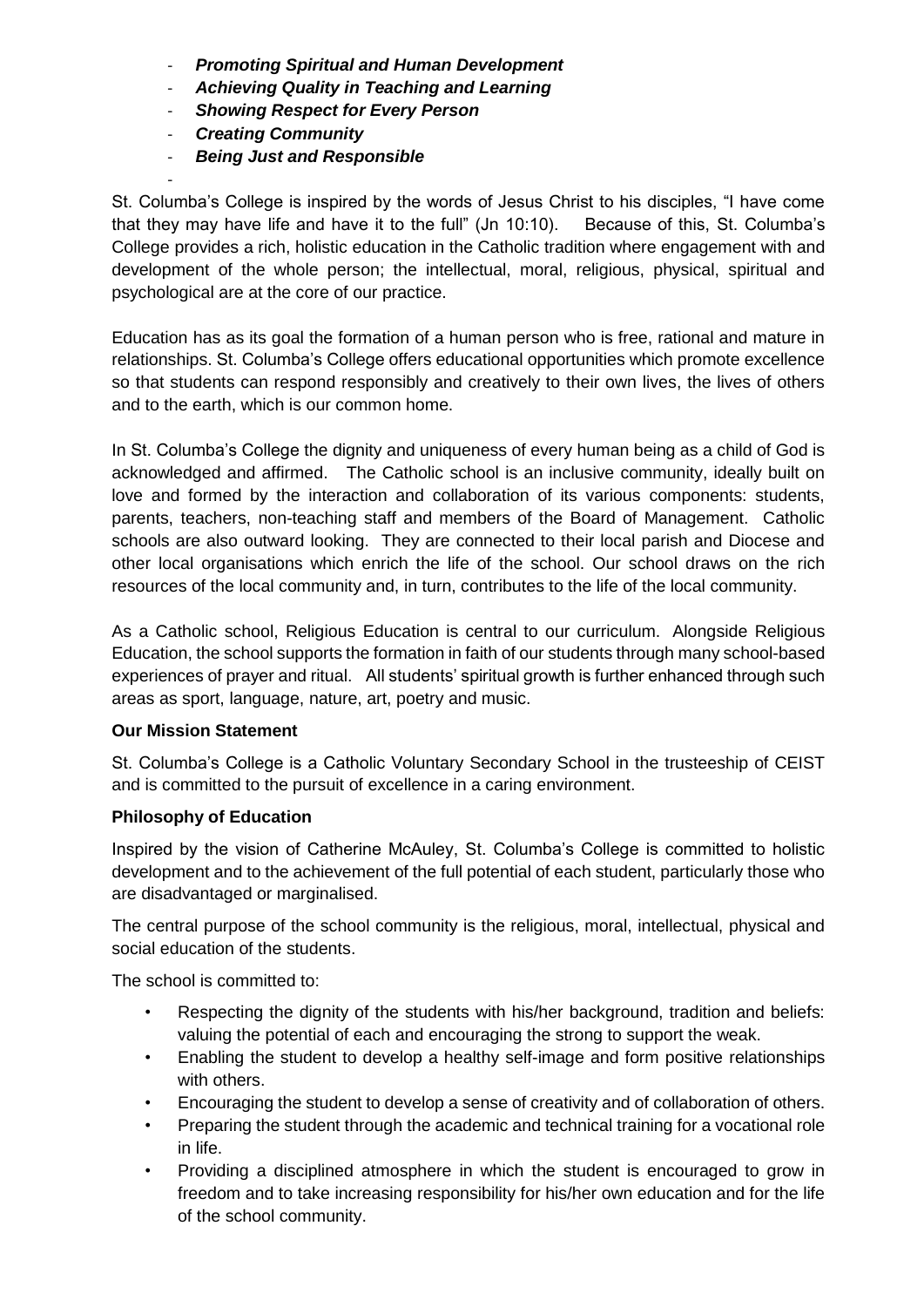- *Promoting Spiritual and Human Development*
- *Achieving Quality in Teaching and Learning*
- *Showing Respect for Every Person*
- *Creating Community*

-

- *Being Just and Responsible* 

St. Columba's College is inspired by the words of Jesus Christ to his disciples, "I have come that they may have life and have it to the full" (Jn 10:10). Because of this, St. Columba's College provides a rich, holistic education in the Catholic tradition where engagement with and development of the whole person; the intellectual, moral, religious, physical, spiritual and psychological are at the core of our practice.

Education has as its goal the formation of a human person who is free, rational and mature in relationships. St. Columba's College offers educational opportunities which promote excellence so that students can respond responsibly and creatively to their own lives, the lives of others and to the earth, which is our common home.

In St. Columba's College the dignity and uniqueness of every human being as a child of God is acknowledged and affirmed. The Catholic school is an inclusive community, ideally built on love and formed by the interaction and collaboration of its various components: students, parents, teachers, non-teaching staff and members of the Board of Management. Catholic schools are also outward looking. They are connected to their local parish and Diocese and other local organisations which enrich the life of the school. Our school draws on the rich resources of the local community and, in turn, contributes to the life of the local community.

As a Catholic school, Religious Education is central to our curriculum. Alongside Religious Education, the school supports the formation in faith of our students through many school-based experiences of prayer and ritual. All students' spiritual growth is further enhanced through such areas as sport, language, nature, art, poetry and music.

#### **Our Mission Statement**

St. Columba's College is a Catholic Voluntary Secondary School in the trusteeship of CEIST and is committed to the pursuit of excellence in a caring environment.

#### **Philosophy of Education**

Inspired by the vision of Catherine McAuley, St. Columba's College is committed to holistic development and to the achievement of the full potential of each student, particularly those who are disadvantaged or marginalised.

The central purpose of the school community is the religious, moral, intellectual, physical and social education of the students.

The school is committed to:

- Respecting the dignity of the students with his/her background, tradition and beliefs: valuing the potential of each and encouraging the strong to support the weak.
- Enabling the student to develop a healthy self-image and form positive relationships with others.
- Encouraging the student to develop a sense of creativity and of collaboration of others.
- Preparing the student through the academic and technical training for a vocational role in life.
- Providing a disciplined atmosphere in which the student is encouraged to grow in freedom and to take increasing responsibility for his/her own education and for the life of the school community.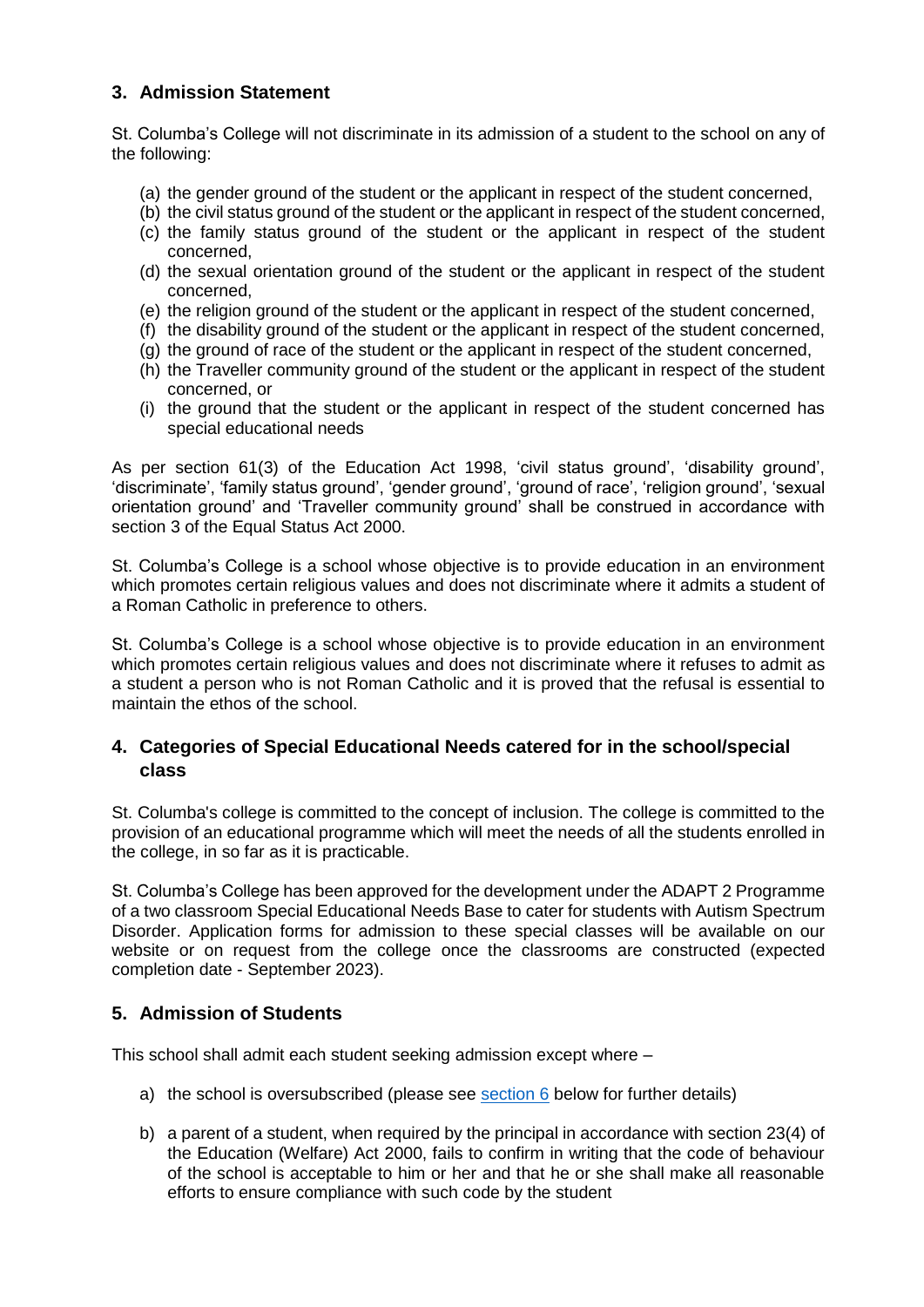## **3. Admission Statement**

St. Columba's College will not discriminate in its admission of a student to the school on any of the following:

- (a) the gender ground of the student or the applicant in respect of the student concerned,
- (b) the civil status ground of the student or the applicant in respect of the student concerned,
- (c) the family status ground of the student or the applicant in respect of the student concerned,
- (d) the sexual orientation ground of the student or the applicant in respect of the student concerned,
- (e) the religion ground of the student or the applicant in respect of the student concerned,
- (f) the disability ground of the student or the applicant in respect of the student concerned,
- (g) the ground of race of the student or the applicant in respect of the student concerned,
- (h) the Traveller community ground of the student or the applicant in respect of the student concerned, or
- (i) the ground that the student or the applicant in respect of the student concerned has special educational needs

As per section 61(3) of the Education Act 1998, 'civil status ground', 'disability ground', 'discriminate', 'family status ground', 'gender ground', 'ground of race', 'religion ground', 'sexual orientation ground' and 'Traveller community ground' shall be construed in accordance with section 3 of the Equal Status Act 2000.

St. Columba's College is a school whose objective is to provide education in an environment which promotes certain religious values and does not discriminate where it admits a student of a Roman Catholic in preference to others.

St. Columba's College is a school whose objective is to provide education in an environment which promotes certain religious values and does not discriminate where it refuses to admit as a student a person who is not Roman Catholic and it is proved that the refusal is essential to maintain the ethos of the school.

#### **4. Categories of Special Educational Needs catered for in the school/special class**

St. Columba's college is committed to the concept of inclusion. The college is committed to the provision of an educational programme which will meet the needs of all the students enrolled in the college, in so far as it is practicable.

St. Columba's College has been approved for the development under the ADAPT 2 Programme of a two classroom Special Educational Needs Base to cater for students with Autism Spectrum Disorder. Application forms for admission to these special classes will be available on our website or on request from the college once the classrooms are constructed (expected completion date - September 2023).

#### **5. Admission of Students**

This school shall admit each student seeking admission except where –

- a) the school is oversubscribed (please see [section 6](#page-4-0) below for further details)
- b) a parent of a student, when required by the principal in accordance with section 23(4) of the Education (Welfare) Act 2000, fails to confirm in writing that the code of behaviour of the school is acceptable to him or her and that he or she shall make all reasonable efforts to ensure compliance with such code by the student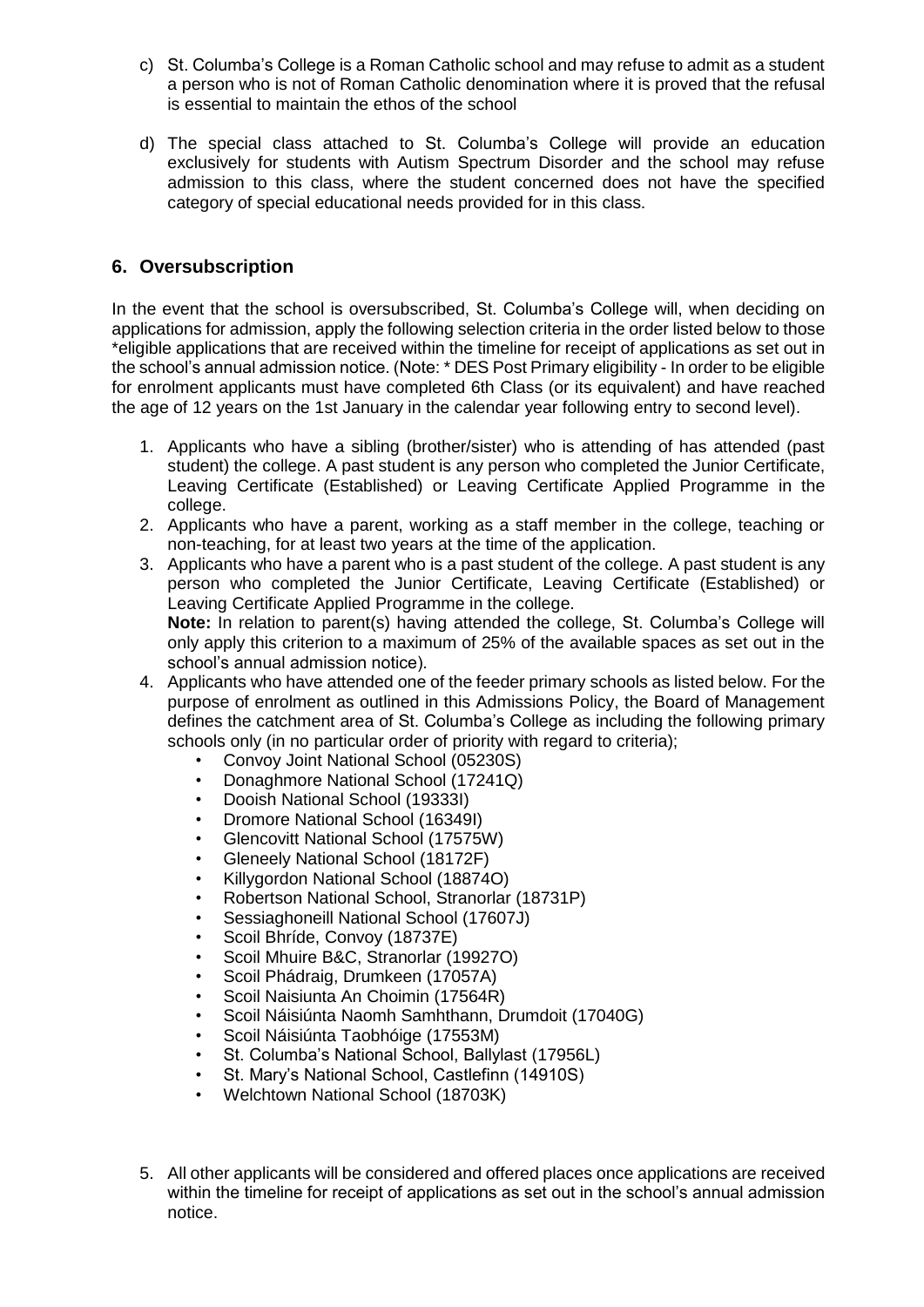- c) St. Columba's College is a Roman Catholic school and may refuse to admit as a student a person who is not of Roman Catholic denomination where it is proved that the refusal is essential to maintain the ethos of the school
- d) The special class attached to St. Columba's College will provide an education exclusively for students with Autism Spectrum Disorder and the school may refuse admission to this class, where the student concerned does not have the specified category of special educational needs provided for in this class.

## <span id="page-4-0"></span>**6. Oversubscription**

In the event that the school is oversubscribed, St. Columba's College will, when deciding on applications for admission, apply the following selection criteria in the order listed below to those \*eligible applications that are received within the timeline for receipt of applications as set out in the school's annual admission notice. (Note: \* DES Post Primary eligibility - In order to be eligible for enrolment applicants must have completed 6th Class (or its equivalent) and have reached the age of 12 years on the 1st January in the calendar year following entry to second level).

- 1. Applicants who have a sibling (brother/sister) who is attending of has attended (past student) the college. A past student is any person who completed the Junior Certificate, Leaving Certificate (Established) or Leaving Certificate Applied Programme in the college.
- 2. Applicants who have a parent, working as a staff member in the college, teaching or non-teaching, for at least two years at the time of the application.
- 3. Applicants who have a parent who is a past student of the college. A past student is any person who completed the Junior Certificate, Leaving Certificate (Established) or Leaving Certificate Applied Programme in the college. **Note:** In relation to parent(s) having attended the college, St. Columba's College will only apply this criterion to a maximum of 25% of the available spaces as set out in the school's annual admission notice).
- 4. Applicants who have attended one of the feeder primary schools as listed below. For the purpose of enrolment as outlined in this Admissions Policy, the Board of Management defines the catchment area of St. Columba's College as including the following primary schools only (in no particular order of priority with regard to criteria);
	- Convoy Joint National School (05230S)
	- Donaghmore National School (17241Q)
	- Dooish National School (19333I)
	- Dromore National School (16349I)
	- Glencovitt National School (17575W)
	- Gleneely National School (18172F)
	- Killygordon National School (18874O)
	- Robertson National School, Stranorlar (18731P)
	- Sessiaghoneill National School (17607J)
	- Scoil Bhríde, Convoy (18737E)
	- Scoil Mhuire B&C, Stranorlar (19927O)
	- Scoil Phádraig, Drumkeen (17057A)
	- Scoil Naisiunta An Choimin (17564R)
	- Scoil Náisiúnta Naomh Samhthann, Drumdoit (17040G)
	- Scoil Náisiúnta Taobhóige (17553M)
	- St. Columba's National School, Ballylast (17956L)
	- St. Mary's National School, Castlefinn (14910S)
	- Welchtown National School (18703K)
- 5. All other applicants will be considered and offered places once applications are received within the timeline for receipt of applications as set out in the school's annual admission notice.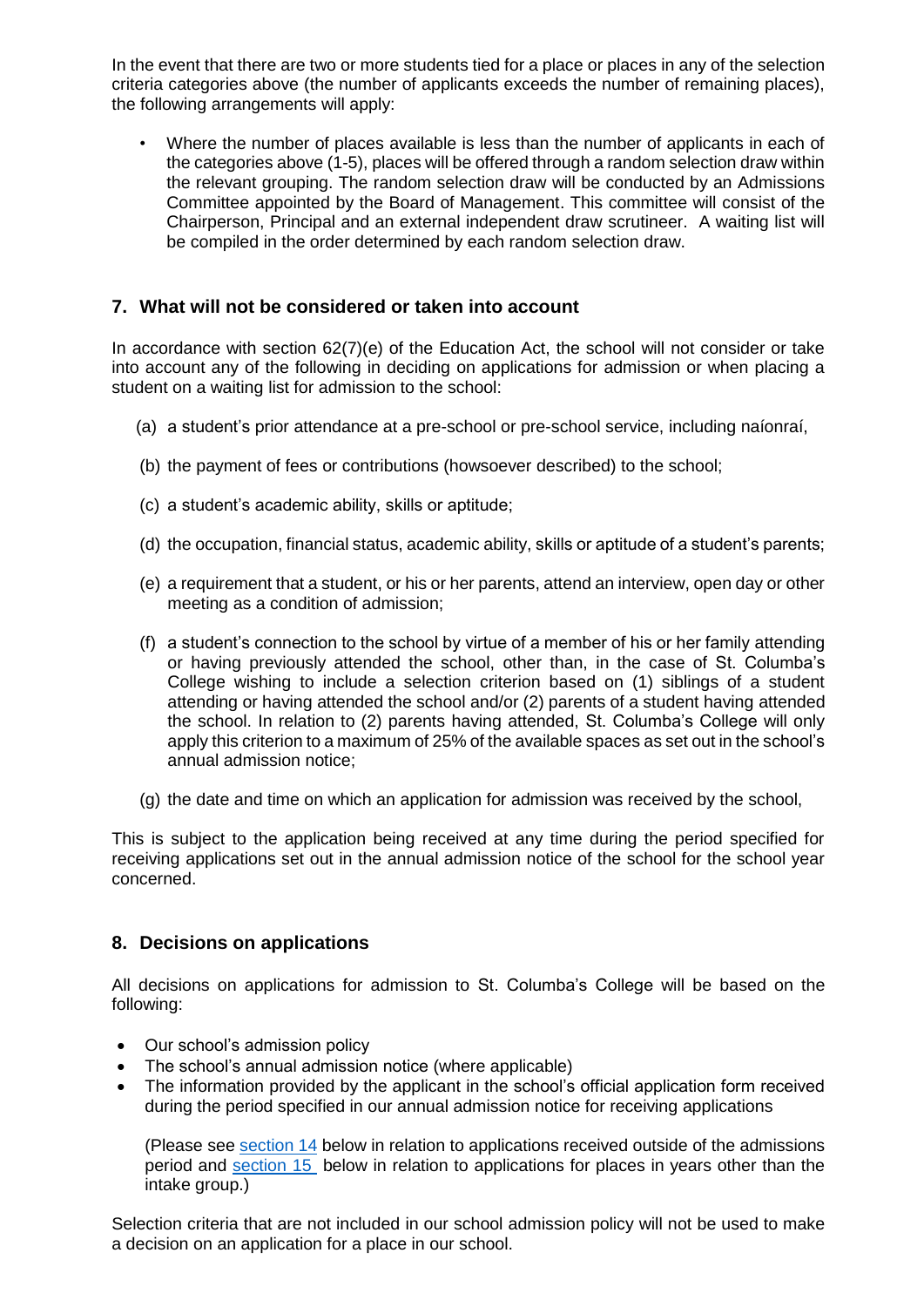In the event that there are two or more students tied for a place or places in any of the selection criteria categories above (the number of applicants exceeds the number of remaining places), the following arrangements will apply:

• Where the number of places available is less than the number of applicants in each of the categories above (1-5), places will be offered through a random selection draw within the relevant grouping. The random selection draw will be conducted by an Admissions Committee appointed by the Board of Management. This committee will consist of the Chairperson, Principal and an external independent draw scrutineer. A waiting list will be compiled in the order determined by each random selection draw.

### **7. What will not be considered or taken into account**

In accordance with section 62(7)(e) of the Education Act, the school will not consider or take into account any of the following in deciding on applications for admission or when placing a student on a waiting list for admission to the school:

- (a) a student's prior attendance at a pre-school or pre-school service, including naíonraí,
- (b) the payment of fees or contributions (howsoever described) to the school;
- (c) a student's academic ability, skills or aptitude;
- (d) the occupation, financial status, academic ability, skills or aptitude of a student's parents;
- (e) a requirement that a student, or his or her parents, attend an interview, open day or other meeting as a condition of admission;
- (f) a student's connection to the school by virtue of a member of his or her family attending or having previously attended the school, other than, in the case of St. Columba's College wishing to include a selection criterion based on (1) siblings of a student attending or having attended the school and/or (2) parents of a student having attended the school. In relation to (2) parents having attended, St. Columba's College will only apply this criterion to a maximum of 25% of the available spaces as set out in the school's annual admission notice;
- (g) the date and time on which an application for admission was received by the school,

This is subject to the application being received at any time during the period specified for receiving applications set out in the annual admission notice of the school for the school year concerned.

#### **8. Decisions on applications**

All decisions on applications for admission to St. Columba's College will be based on the following:

- Our school's admission policy
- The school's annual admission notice (where applicable)
- The information provided by the applicant in the school's official application form received during the period specified in our annual admission notice for receiving applications

(Please see [section 14](#page-7-0) below in relation to applications received outside of the admissions period and [section 15](#page-8-0) below in relation to applications for places in years other than the intake group.)

Selection criteria that are not included in our school admission policy will not be used to make a decision on an application for a place in our school.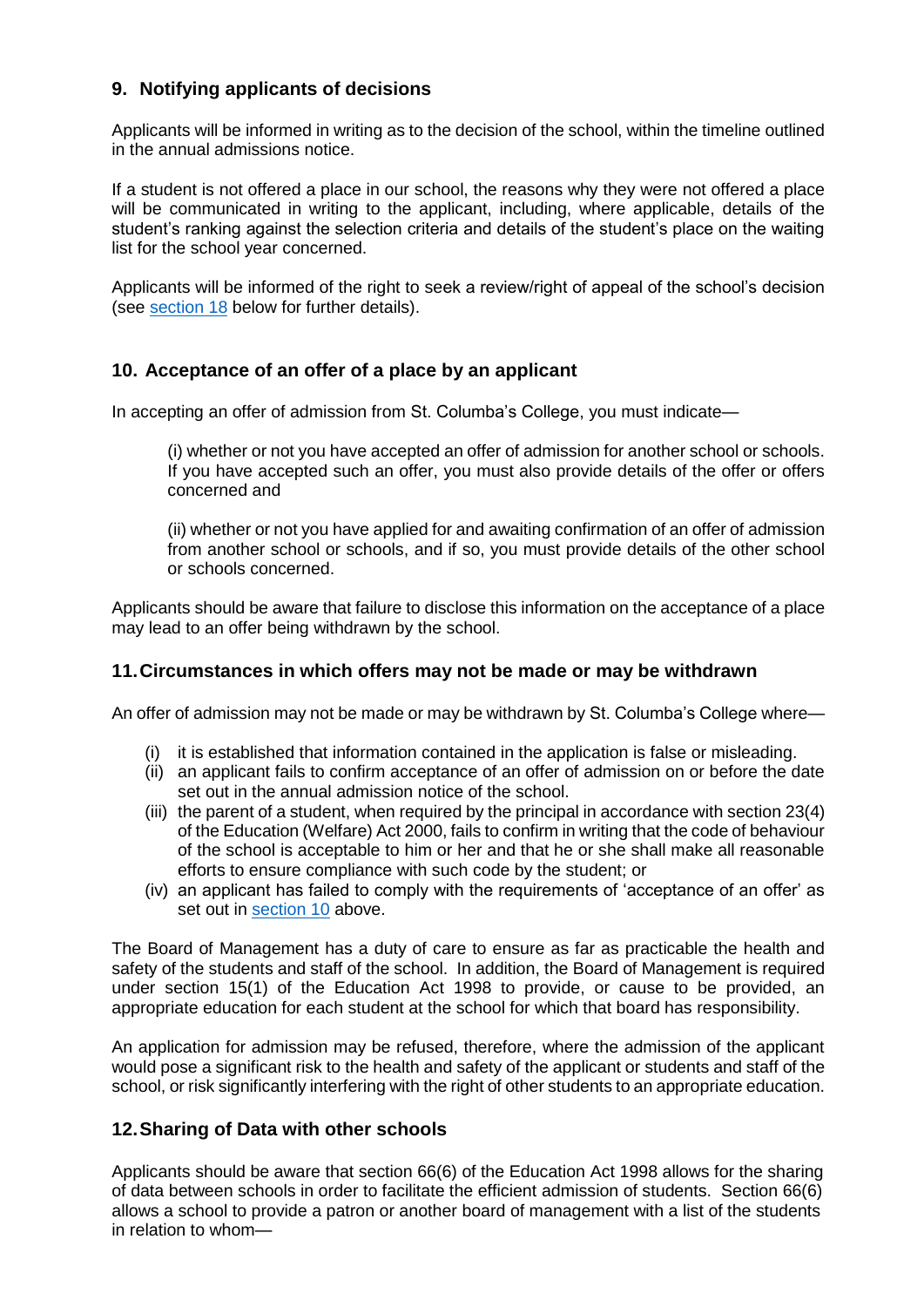# **9. Notifying applicants of decisions**

Applicants will be informed in writing as to the decision of the school, within the timeline outlined in the annual admissions notice.

If a student is not offered a place in our school, the reasons why they were not offered a place will be communicated in writing to the applicant, including, where applicable, details of the student's ranking against the selection criteria and details of the student's place on the waiting list for the school year concerned.

Applicants will be informed of the right to seek a review/right of appeal of the school's decision (see [section 18](#page-8-1) below for further details).

#### <span id="page-6-0"></span>**10. Acceptance of an offer of a place by an applicant**

In accepting an offer of admission from St. Columba's College, you must indicate—

(i) whether or not you have accepted an offer of admission for another school or schools. If you have accepted such an offer, you must also provide details of the offer or offers concerned and

(ii) whether or not you have applied for and awaiting confirmation of an offer of admission from another school or schools, and if so, you must provide details of the other school or schools concerned.

Applicants should be aware that failure to disclose this information on the acceptance of a place may lead to an offer being withdrawn by the school.

#### **11.Circumstances in which offers may not be made or may be withdrawn**

An offer of admission may not be made or may be withdrawn by St. Columba's College where—

- (i) it is established that information contained in the application is false or misleading.
- (ii) an applicant fails to confirm acceptance of an offer of admission on or before the date set out in the annual admission notice of the school.
- (iii) the parent of a student, when required by the principal in accordance with section 23(4) of the Education (Welfare) Act 2000, fails to confirm in writing that the code of behaviour of the school is acceptable to him or her and that he or she shall make all reasonable efforts to ensure compliance with such code by the student; or
- (iv) an applicant has failed to comply with the requirements of 'acceptance of an offer' as set out in [section 10](#page-6-0) above.

The Board of Management has a duty of care to ensure as far as practicable the health and safety of the students and staff of the school. In addition, the Board of Management is required under section 15(1) of the Education Act 1998 to provide, or cause to be provided, an appropriate education for each student at the school for which that board has responsibility.

An application for admission may be refused, therefore, where the admission of the applicant would pose a significant risk to the health and safety of the applicant or students and staff of the school, or risk significantly interfering with the right of other students to an appropriate education.

#### **12.Sharing of Data with other schools**

Applicants should be aware that section 66(6) of the Education Act 1998 allows for the sharing of data between schools in order to facilitate the efficient admission of students. Section 66(6) allows a school to provide a patron or another board of management with a list of the students in relation to whom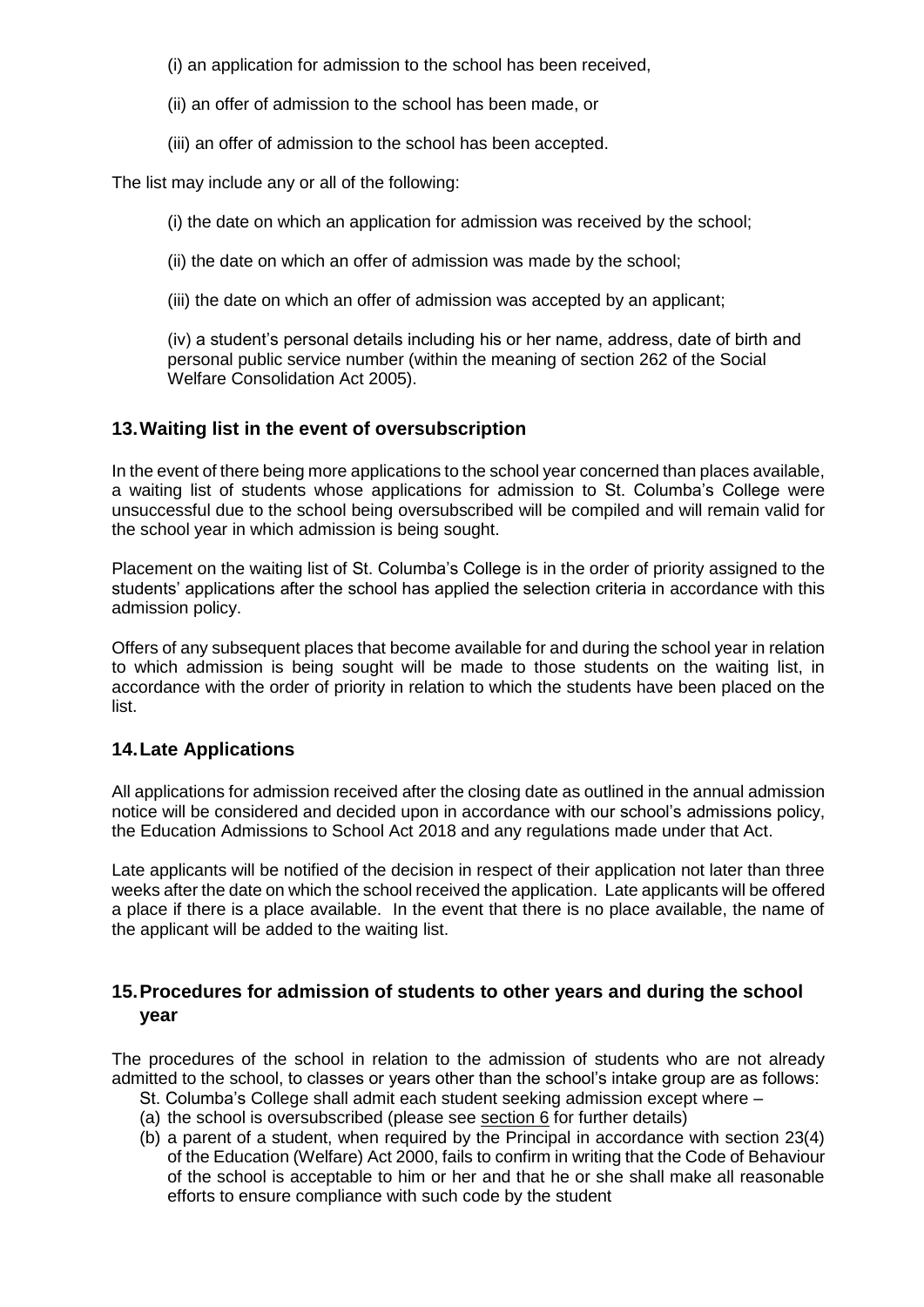(i) an application for admission to the school has been received,

(ii) an offer of admission to the school has been made, or

(iii) an offer of admission to the school has been accepted.

The list may include any or all of the following:

(i) the date on which an application for admission was received by the school;

(ii) the date on which an offer of admission was made by the school;

(iii) the date on which an offer of admission was accepted by an applicant;

(iv) a student's personal details including his or her name, address, date of birth and personal public service number (within the meaning of section 262 of the Social Welfare Consolidation Act 2005).

# **13.Waiting list in the event of oversubscription**

In the event of there being more applications to the school year concerned than places available, a waiting list of students whose applications for admission to St. Columba's College were unsuccessful due to the school being oversubscribed will be compiled and will remain valid for the school year in which admission is being sought.

Placement on the waiting list of St. Columba's College is in the order of priority assigned to the students' applications after the school has applied the selection criteria in accordance with this admission policy.

Offers of any subsequent places that become available for and during the school year in relation to which admission is being sought will be made to those students on the waiting list, in accordance with the order of priority in relation to which the students have been placed on the list.

#### **14.Late Applications**

All applications for admission received after the closing date as outlined in the annual admission notice will be considered and decided upon in accordance with our school's admissions policy, the Education Admissions to School Act 2018 and any regulations made under that Act.

Late applicants will be notified of the decision in respect of their application not later than three weeks after the date on which the school received the application. Late applicants will be offered a place if there is a place available. In the event that there is no place available, the name of the applicant will be added to the waiting list.

# <span id="page-7-0"></span>**15.Procedures for admission of students to other years and during the school year**

The procedures of the school in relation to the admission of students who are not already admitted to the school, to classes or years other than the school's intake group are as follows:

- St. Columba's College shall admit each student seeking admission except where –
- (a) the school is oversubscribed (please see [section 6](file:///C:/Users/GerryMcGuill/OneDrive%20-%20CEIST/CEIST/Admissions%20Policies/Submissions/Roscommon-BoM%20approved%20Admission%20Policy.docx%23_Oversubscription_(this_section) for further details)
- (b) a parent of a student, when required by the Principal in accordance with section 23(4) of the Education (Welfare) Act 2000, fails to confirm in writing that the Code of Behaviour of the school is acceptable to him or her and that he or she shall make all reasonable efforts to ensure compliance with such code by the student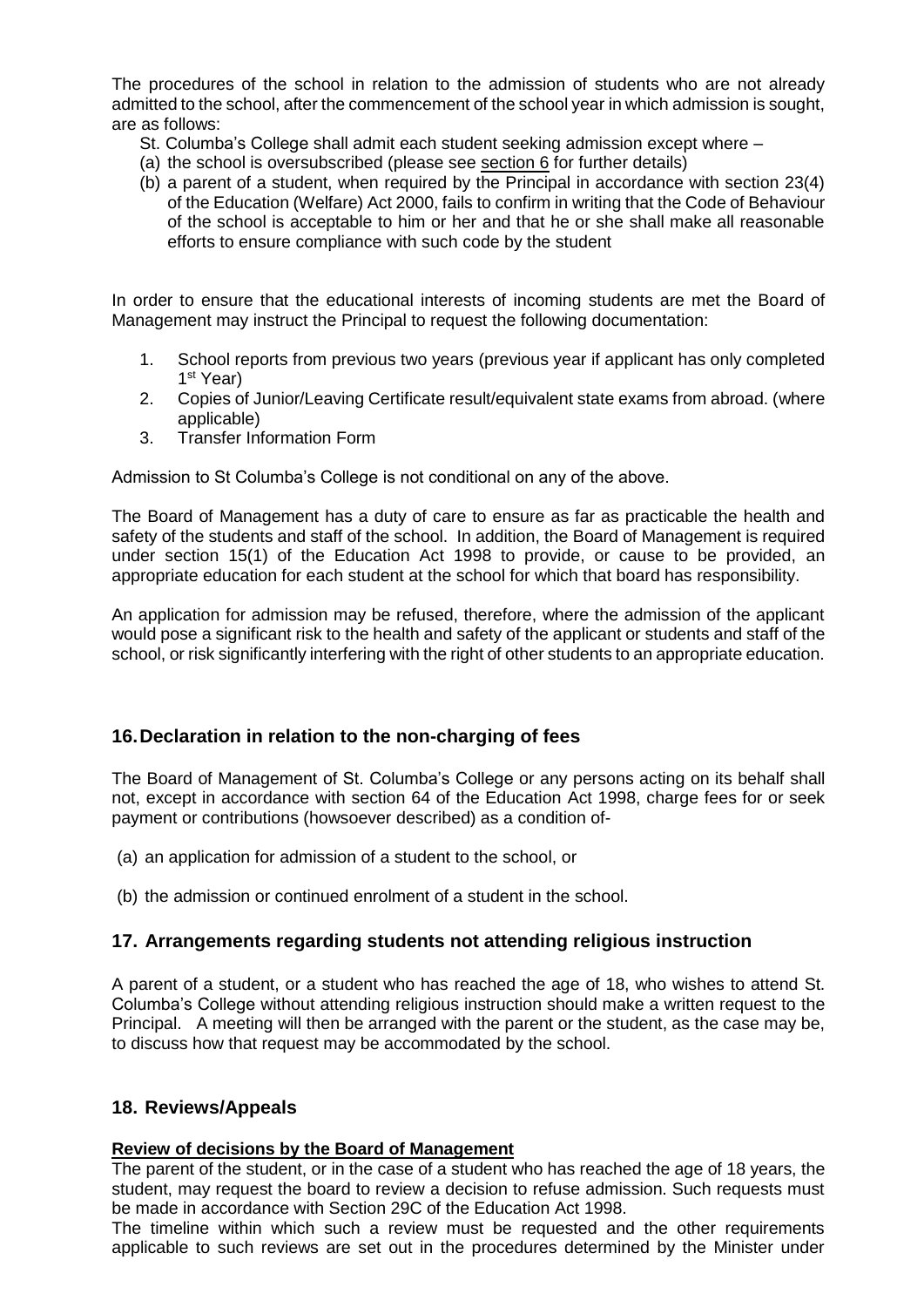The procedures of the school in relation to the admission of students who are not already admitted to the school, after the commencement of the school year in which admission is sought, are as follows:

- St. Columba's College shall admit each student seeking admission except where –
- (a) the school is oversubscribed (please see [section 6](file:///C:/Users/GerryMcGuill/OneDrive%20-%20CEIST/CEIST/Admissions%20Policies/Submissions/Roscommon-BoM%20approved%20Admission%20Policy.docx%23_Oversubscription_(this_section) for further details)
- (b) a parent of a student, when required by the Principal in accordance with section 23(4) of the Education (Welfare) Act 2000, fails to confirm in writing that the Code of Behaviour of the school is acceptable to him or her and that he or she shall make all reasonable efforts to ensure compliance with such code by the student

In order to ensure that the educational interests of incoming students are met the Board of Management may instruct the Principal to request the following documentation:

- 1. School reports from previous two years (previous year if applicant has only completed 1<sup>st</sup> Year)
- 2. Copies of Junior/Leaving Certificate result/equivalent state exams from abroad. (where applicable)
- 3. Transfer Information Form

Admission to St Columba's College is not conditional on any of the above.

The Board of Management has a duty of care to ensure as far as practicable the health and safety of the students and staff of the school. In addition, the Board of Management is required under section 15(1) of the Education Act 1998 to provide, or cause to be provided, an appropriate education for each student at the school for which that board has responsibility.

An application for admission may be refused, therefore, where the admission of the applicant would pose a significant risk to the health and safety of the applicant or students and staff of the school, or risk significantly interfering with the right of other students to an appropriate education.

#### <span id="page-8-0"></span>**16.Declaration in relation to the non-charging of fees**

The Board of Management of St. Columba's College or any persons acting on its behalf shall not, except in accordance with section 64 of the Education Act 1998, charge fees for or seek payment or contributions (howsoever described) as a condition of-

- (a) an application for admission of a student to the school, or
- (b) the admission or continued enrolment of a student in the school.

#### **17. Arrangements regarding students not attending religious instruction**

A parent of a student, or a student who has reached the age of 18, who wishes to attend St. Columba's College without attending religious instruction should make a written request to the Principal. A meeting will then be arranged with the parent or the student, as the case may be, to discuss how that request may be accommodated by the school.

#### <span id="page-8-1"></span>**18. Reviews/Appeals**

#### **Review of decisions by the Board of Management**

The parent of the student, or in the case of a student who has reached the age of 18 years, the student, may request the board to review a decision to refuse admission. Such requests must be made in accordance with Section 29C of the Education Act 1998.

The timeline within which such a review must be requested and the other requirements applicable to such reviews are set out in the procedures determined by the Minister under